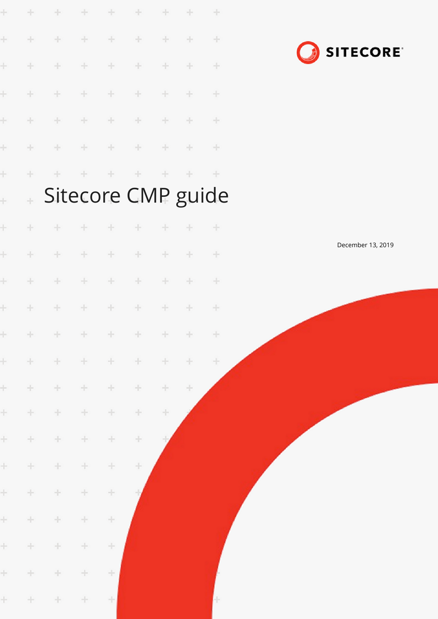

 $\ddot{}$  $\frac{1}{2}$  $\frac{1}{2}$ ÷  $\frac{1}{2}$  $\frac{1}{2}$  $\frac{1}{2}$  $\div$  $\rightarrow$  $\frac{1}{2}$  $\pm$  $\frac{1}{2}$ ÷  $\div$  $\frac{1}{2}$ ÷  $\frac{1}{2}$  $\div$  $\frac{1}{2}$ ÷  $\div$ ÷ ÷ ÷ ÷ ÷  $\div$  $\ddot{\gamma}$  $\frac{1}{2}$  $\div$  $\div$  $\frac{1}{2}$  $\div$  $\frac{1}{2}$ ÷  $\div$ Sitecore CMP guide  $\ddot{\phantom{0}}$  $\ddot{}$  $\pm$  $\ddot{\phantom{0}}$  $\div$  $\!+\!$  $\div$ ÷  $\div$ ÷ ÷  $\frac{1}{2}$ ÷  $\pm$  $\pm$  $\frac{1}{2}$  $\pm$  $\!+\!$ ÷  $\frac{1}{2}$  $\ddot{}$  $\frac{1}{2}$ ÷ ÷  $\div$  $\!+\!$  $\pm$  $\div$ ÷ ł  $\frac{1}{2}$  $\frac{1}{2}$  $\frac{1}{2}$ ÷ ÷ ÷ ÷ ÷ ÷  $\div$  $\frac{1}{2}$ ÷  $\frac{1}{2}$  . ÷ ÷ ÷ ÷  $\ddot{}$  $\frac{1}{2}$ ÷  $\pm$  $\pm$  $\div$ ÷ ÷ ÷  $\div$  $\ddot{}$  $\pm$ ÷ ÷  $\!+\!$  $\div$  $\div$  $\div$  $\div$ ÷  $\div$ ÷  $\div$  $\div$ ÷  $\div$  $\frac{1}{2}$  $\frac{1}{2}$  $\frac{1}{2}$  $\frac{1}{2}$  $^{+}$  $\div$  $\frac{1}{2}$  $\div$  $\frac{1}{2}$ ÷  $\div$ ÷ ÷  $\div$ ÷  $\frac{1}{2}$ ÷  $\frac{1}{2}$  $\div$  $\frac{1}{2}$ ÷  $\div$  $\frac{1}{2}$  $\frac{1}{2}$  $\div$ 

÷

 $\ddot{}$ 

÷

÷

÷

 $\div$ 

 $\div$ 

÷

÷

 $\div$ 

÷

 $\div$ 

 $\div$ 

 $\div$ 

 $\div$ 

÷

 $\frac{1}{2}$ 

÷

 $\frac{1}{2}$ 

÷

÷

÷

÷

÷

 $\!+\!$ 

 $\frac{1}{2}$ 

 $\frac{1}{2}$ 

÷

÷

÷

 $\div$ 

÷

÷

÷

 $\div$ 

÷

÷

December 13, 2019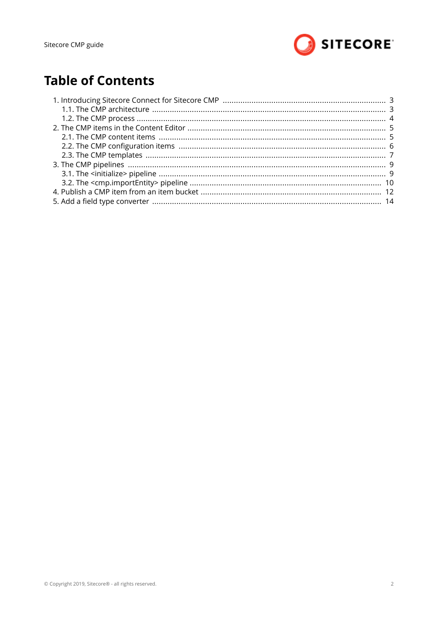

# **Table of Contents**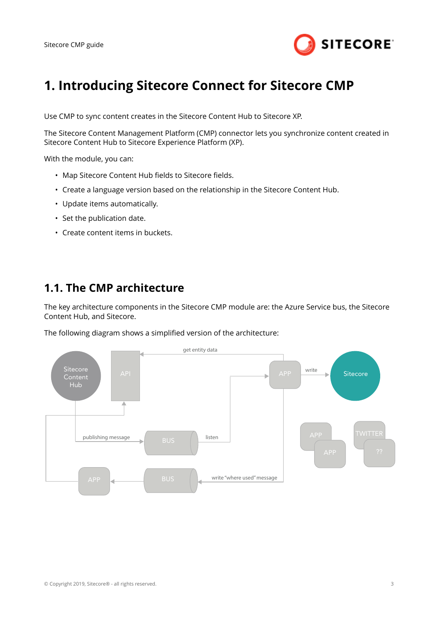

## <span id="page-2-0"></span>**1. Introducing Sitecore Connect for Sitecore CMP**

Use CMP to sync content creates in the Sitecore Content Hub to Sitecore XP.

The Sitecore Content Management Platform (CMP) connector lets you synchronize content created in Sitecore Content Hub to Sitecore Experience Platform (XP).

With the module, you can:

- Map Sitecore Content Hub fields to Sitecore fields
- Create a language version based on the relationship in the Sitecore Content Hub.
- Update items automatically.
- Set the publication date.
- Create content items in buckets.

#### **1.1. The CMP architecture**

The key architecture components in the Sitecore CMP module are: the Azure Service bus, the Sitecore Content Hub, and Sitecore.

The following diagram shows a simplified version of the architecture:

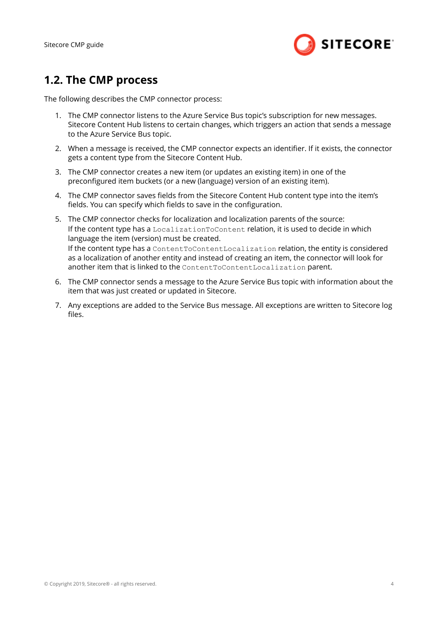<span id="page-3-0"></span>Sitecore CMP guide



#### **1.2. The CMP process**

The following describes the CMP connector process:

- 1. The CMP connector listens to the Azure Service Bus topic's subscription for new messages. Sitecore Content Hub listens to certain changes, which triggers an action that sends a message to the Azure Service Bus topic.
- 2. When a message is received, the CMP connector expects an identifier. If it exists, the connector gets a content type from the Sitecore Content Hub.
- 3. The CMP connector creates a new item (or updates an existing item) in one of the preconfigured item buckets (or a new (language) version of an existing item).
- 4. The CMP connector saves fields from the Sitecore Content Hub content type into the item's fields. You can specify which fields to save in the configuration.
- 5. The CMP connector checks for localization and localization parents of the source: If the content type has a LocalizationToContent relation, it is used to decide in which language the item (version) must be created. If the content type has a ContentToContentLocalization relation, the entity is considered as a localization of another entity and instead of creating an item, the connector will look for another item that is linked to the ContentToContentLocalization parent.
- 6. The CMP connector sends a message to the Azure Service Bus topic with information about the item that was just created or updated in Sitecore.
- 7. Any exceptions are added to the Service Bus message. All exceptions are written to Sitecore log files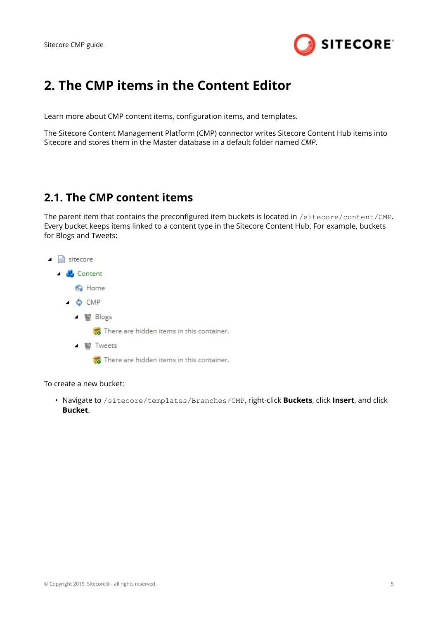

## <span id="page-4-0"></span>**2. The CMP items in the Content Editor**

Learn more about CMP content items, configuration items, and templates.

The Sitecore Content Management Platform (CMP) connector writes Sitecore Content Hub items into Sitecore and stores them in the Master database in a default folder named *CMP*.

#### **2.1. The CMP content items**

The parent item that contains the preconfigured item buckets is located in /sitecore/content/CMP. Every bucket keeps items linked to a content type in the Sitecore Content Hub. For example, buckets for Blogs and Tweets:

- $\Box$  sitecore
	- $\triangle$  Content
		- na Home
		- $\triangle$   $\bullet$  CMP
			- ▲ <sup>■</sup> Blogs

There are hidden items in this container.

 $\blacktriangle$   $\blacktriangleright$  Tweets

There are hidden items in this container.

To create a new bucket:

• Navigate to /sitecore/templates/Branches/CMP, right-click **Buckets**, click **Insert**, and click **Bucket**.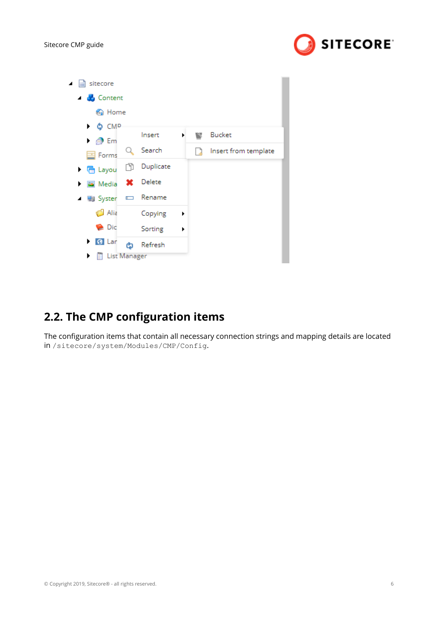

<span id="page-5-0"></span>

| sitecore<br>◢                 |                 |   |   |                      |
|-------------------------------|-----------------|---|---|----------------------|
| ▲ <b>de</b> Content           |                 |   |   |                      |
| <b>M</b> Home                 |                 |   |   |                      |
| ▶ ФСМР                        |                 |   |   |                      |
| $\triangleright$ $\otimes$ Em | Insert          | ▶ | w | <b>Bucket</b>        |
| Forms                         | Search          |   |   | Insert from template |
| Ñ<br>▶ 后 Layou                | Duplicate       |   |   |                      |
| Media                         | <b>X</b> Delete |   |   |                      |
| ▲ ■】 Syster                   | Rename          |   |   |                      |
| Alia                          | Copying         | ٠ |   |                      |
| $\triangleright$ Dic          | Sorting         | ▶ |   |                      |
| <b>8</b> Lar<br>▶<br>ඨ        | Refresh         |   |   |                      |
| <b>List Manager</b><br>▶      |                 |   |   |                      |

## **2.2. The CMP configuration items**

The configuration items that contain all necessary connection strings and mapping details are located in /sitecore/system/Modules/CMP/Config.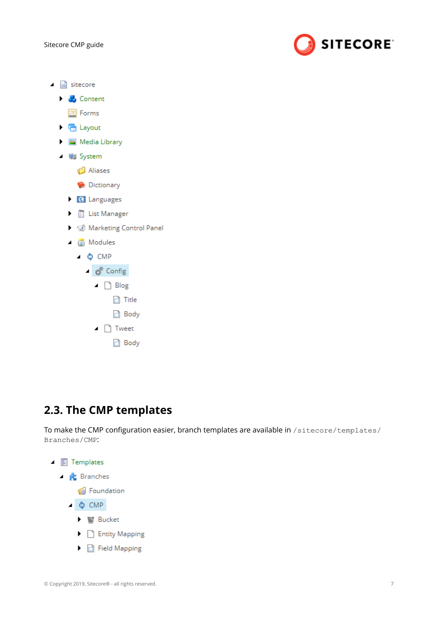

- <span id="page-6-0"></span> $\blacktriangle$   $\blacksquare$  sitecore
	- $\blacktriangleright$   $\blacktriangleright$  Content E Forms ▶ 宿 Layout Media Library ▲ ■ System Aliases Dictionary **8** Languages I List Manager
		- ▶ ۞ Marketing Control Panel
		- $\blacktriangle$  ( $\blacksquare$ ) Modules
			- $\triangle$   $\bullet$  CMP
				- ⊿ **d<sup>e</sup>** Config
					- $\Box$  Blog
						- $\Box$  Title
						- d Body
					- $\blacksquare$  Tweet
						- d Body

### **2.3. The CMP templates**

To make the CMP configuration easier, branch templates are available in /sitecore/templates/ Branches/CMP:



▶ d Field Mapping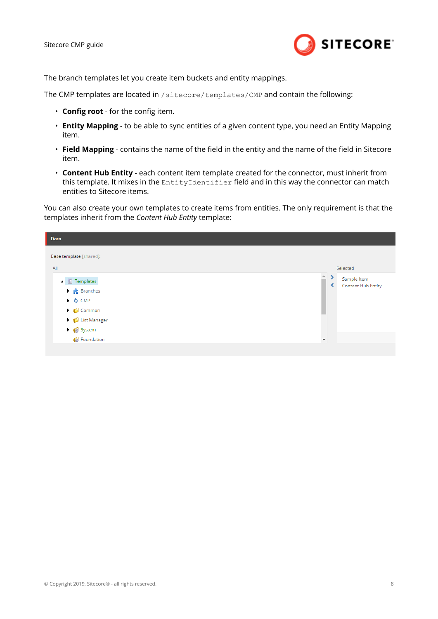Sitecore CMP guide



The branch templates let you create item buckets and entity mappings.

The CMP templates are located in /sitecore/templates/CMP and contain the following:

- **Config root** for the config item.
- **Entity Mapping** to be able to sync entities of a given content type, you need an Entity Mapping item.
- **Field Mapping** contains the name of the field in the entity and the name of the field in Sitecore item.
- **Content Hub Entity** each content item template created for the connector, must inherit from this template. It mixes in the EntityIdentifier field and in this way the connector can match entities to Sitecore items.

You can also create your own templates to create items from entities. The only requirement is that the templates inherit from the *Content Hub Entity* template:

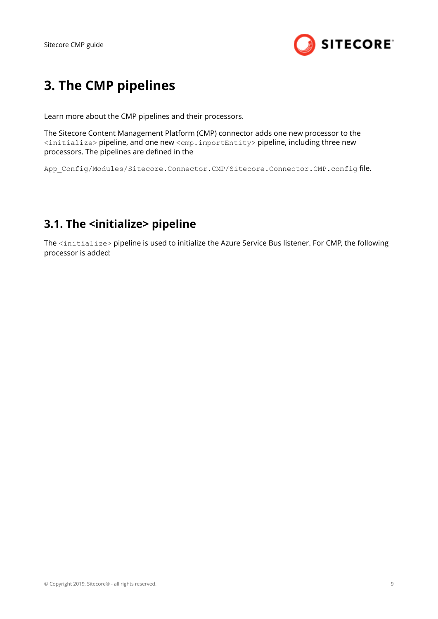

# <span id="page-8-0"></span>**3. The CMP pipelines**

Learn more about the CMP pipelines and their processors.

The Sitecore Content Management Platform (CMP) connector adds one new processor to the <initialize> pipeline, and one new <cmp.importEntity> pipeline, including three new processors. The pipelines are defined in the

App Config/Modules/Sitecore.Connector.CMP/Sitecore.Connector.CMP.config file.

### **3.1. The <initialize> pipeline**

The <initialize> pipeline is used to initialize the Azure Service Bus listener. For CMP, the following processor is added: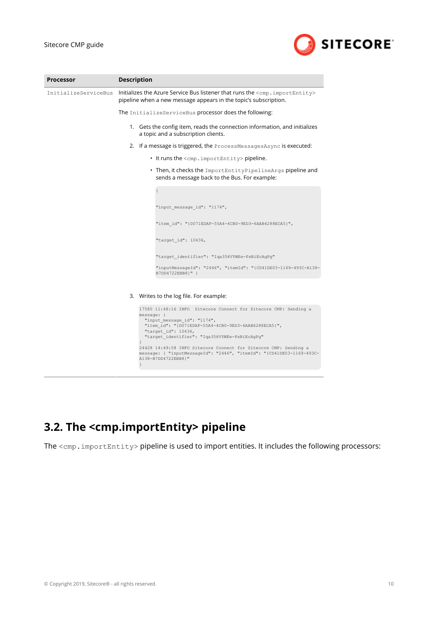

<span id="page-9-0"></span>

| <b>Processor</b>     | <b>Description</b>                                                                                                                                                                                                                                                                                                  |
|----------------------|---------------------------------------------------------------------------------------------------------------------------------------------------------------------------------------------------------------------------------------------------------------------------------------------------------------------|
| InitializeServiceBus | Initializes the Azure Service Bus listener that runs the <cmp. importentity=""><br/>pipeline when a new message appears in the topic's subscription.</cmp.>                                                                                                                                                         |
|                      | The InitializeServiceBus processor does the following:                                                                                                                                                                                                                                                              |
|                      | 1. Gets the config item, reads the connection information, and initializes<br>a topic and a subscription clients.                                                                                                                                                                                                   |
|                      | 2. If a message is triggered, the ProcessMessagesAsync is executed:                                                                                                                                                                                                                                                 |
|                      | • It runs the <cmp.importentity> pipeline.</cmp.importentity>                                                                                                                                                                                                                                                       |
|                      | • Then, it checks the ImportEntityPipelineArgs pipeline and<br>sends a message back to the Bus. For example:                                                                                                                                                                                                        |
|                      |                                                                                                                                                                                                                                                                                                                     |
|                      | "input message id": "1174",                                                                                                                                                                                                                                                                                         |
|                      | "item id": "{D071EDAF-55A4-4CB0-9ED3-6AAB6288ECA5}",                                                                                                                                                                                                                                                                |
|                      | "target id": 10436,                                                                                                                                                                                                                                                                                                 |
|                      | "target identifier": "Iqa356VYWEe-PsBiEcAgPg"                                                                                                                                                                                                                                                                       |
|                      | "inputMessageId": "2446", "itemId": "{CD41DE03-1169-493C-A138-<br>B7DD4722EBB8}" }                                                                                                                                                                                                                                  |
|                      |                                                                                                                                                                                                                                                                                                                     |
|                      | 3. Writes to the log file. For example:                                                                                                                                                                                                                                                                             |
|                      | 17580 11:48:16 INFO Sitecore Connect for Sitecore CMP: Sending a<br>$message:$ {<br>"input message id": "1174",<br>"item id": "{D071EDAF-55A4-4CB0-9ED3-6AAB6288ECA5}",<br>"target id": 10436,<br>"target identifier": "Iqa356VYWEe-PsBiEcAgPq"<br>24428 14:49:58 INFO Sitecore Connect for Sitecore CMP: Sending a |
|                      | message: { "inputMessageId": "2446", "itemId": "{CD41DE03-1169-493C-<br>A138-B7DD4722EBB8}"<br>$\left\{ \right\}$                                                                                                                                                                                                   |

## **3.2. The <cmp.importEntity> pipeline**

The <cmp.importEntity> pipeline is used to import entities. It includes the following processors: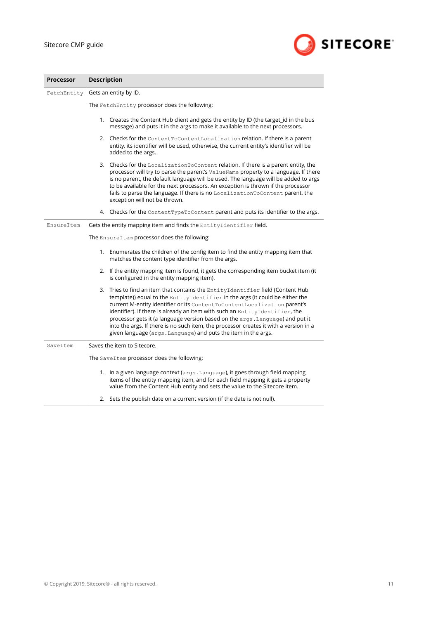

| <b>Processor</b> | <b>Description</b>                                                                                                                                                                                                                                                                                                                                                                                                                                                                                                                                                    |  |  |  |  |  |
|------------------|-----------------------------------------------------------------------------------------------------------------------------------------------------------------------------------------------------------------------------------------------------------------------------------------------------------------------------------------------------------------------------------------------------------------------------------------------------------------------------------------------------------------------------------------------------------------------|--|--|--|--|--|
|                  | FetchEntity Gets an entity by ID.<br>The FetchEntity processor does the following:                                                                                                                                                                                                                                                                                                                                                                                                                                                                                    |  |  |  |  |  |
|                  |                                                                                                                                                                                                                                                                                                                                                                                                                                                                                                                                                                       |  |  |  |  |  |
|                  | 1. Creates the Content Hub client and gets the entity by ID (the target_id in the bus<br>message) and puts it in the args to make it available to the next processors.                                                                                                                                                                                                                                                                                                                                                                                                |  |  |  |  |  |
|                  | 2. Checks for the ContentToContentLocalization relation. If there is a parent<br>entity, its identifier will be used, otherwise, the current entity's identifier will be<br>added to the args.                                                                                                                                                                                                                                                                                                                                                                        |  |  |  |  |  |
|                  | 3. Checks for the Localization ToContent relation. If there is a parent entity, the<br>processor will try to parse the parent's ValueName property to a language. If there<br>is no parent, the default language will be used. The language will be added to args<br>to be available for the next processors. An exception is thrown if the processor<br>fails to parse the language. If there is no LocalizationToContent parent, the<br>exception will not be thrown.                                                                                               |  |  |  |  |  |
|                  | 4. Checks for the Content Type ToContent parent and puts its identifier to the args.                                                                                                                                                                                                                                                                                                                                                                                                                                                                                  |  |  |  |  |  |
| EnsureItem       | Gets the entity mapping item and finds the EntityIdentifier field.                                                                                                                                                                                                                                                                                                                                                                                                                                                                                                    |  |  |  |  |  |
|                  | The EnsureItem processor does the following:                                                                                                                                                                                                                                                                                                                                                                                                                                                                                                                          |  |  |  |  |  |
|                  | 1. Enumerates the children of the config item to find the entity mapping item that<br>matches the content type identifier from the args.                                                                                                                                                                                                                                                                                                                                                                                                                              |  |  |  |  |  |
|                  | 2. If the entity mapping item is found, it gets the corresponding item bucket item (it<br>is configured in the entity mapping item).                                                                                                                                                                                                                                                                                                                                                                                                                                  |  |  |  |  |  |
|                  | 3. Tries to find an item that contains the EntityIdentifier field (Content Hub<br>template)) equal to the EntityIdentifier in the args (it could be either the<br>current M-entity identifier or its ContentToContentLocalization parent's<br>identifier). If there is already an item with such an EntityIdentifier, the<br>processor gets it (a language version based on the args. Language) and put it<br>into the args. If there is no such item, the processor creates it with a version in a<br>given language (args. Language) and puts the item in the args. |  |  |  |  |  |
| SaveItem         | Saves the item to Sitecore.                                                                                                                                                                                                                                                                                                                                                                                                                                                                                                                                           |  |  |  |  |  |
|                  | The SaveItem processor does the following:                                                                                                                                                                                                                                                                                                                                                                                                                                                                                                                            |  |  |  |  |  |
|                  | 1. In a given language context (args. Language), it goes through field mapping<br>items of the entity mapping item, and for each field mapping it gets a property<br>value from the Content Hub entity and sets the value to the Sitecore item.                                                                                                                                                                                                                                                                                                                       |  |  |  |  |  |

2. Sets the publish date on a current version (if the date is not null).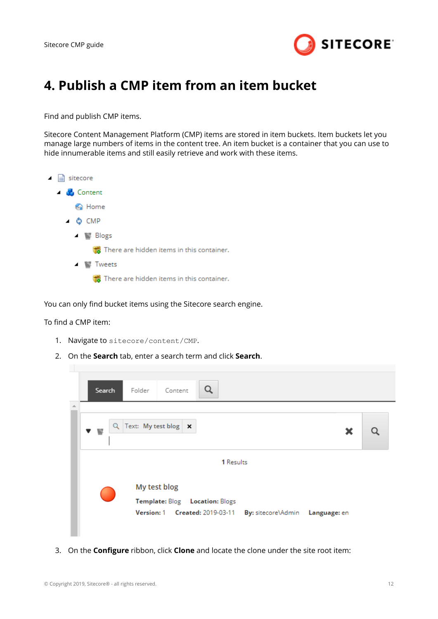

## <span id="page-11-0"></span>**4. Publish a CMP item from an item bucket**

Find and publish CMP items.

Sitecore Content Management Platform (CMP) items are stored in item buckets. Item buckets let you manage large numbers of items in the content tree. An item bucket is a container that you can use to hide innumerable items and still easily retrieve and work with these items.



You can only find bucket items using the Sitecore search engine.

To find a CMP item:

- 1. Navigate to sitecore/content/CMP.
- 2. On the **Search** tab, enter a search term and click **Search**.



3. On the **Configure** ribbon, click **Clone** and locate the clone under the site root item: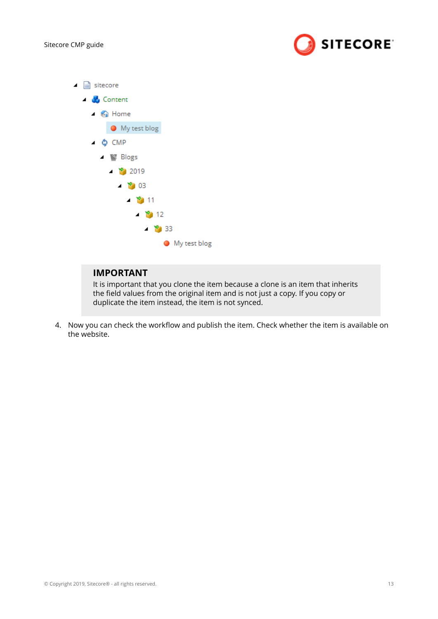$\overline{\phantom{a}}$ 



| sitecore                                  |
|-------------------------------------------|
| ▲ Content                                 |
| $\triangle$ 6 Home                        |
| ● My test blog                            |
| ⊿ Ô, CMP                                  |
| ⊿ Slogs                                   |
| ⊿ ᢪ) 2019                                 |
| $\blacktriangle$ $\blacktriangleright$ 03 |
| $-2011$                                   |
| $\blacktriangle$ 12                       |
| $\blacktriangle$ $\blacktriangleright$ 33 |
| ● My test blog                            |

#### **IMPORTANT**

It is important that you clone the item because a clone is an item that inherits the field values from the original item and is not just a copy. If you copy or duplicate the item instead, the item is not synced.

4. Now you can check the workflow and publish the item. Check whether the item is available on the website.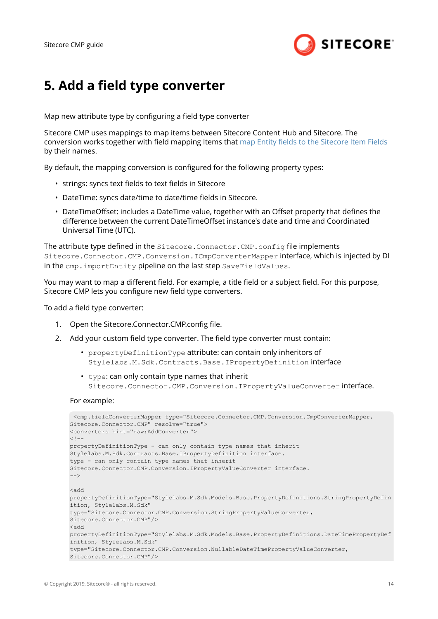

## <span id="page-13-0"></span>**5. Add a field type converter**

Map new attribute type by configuring a field type converter

Sitecore CMP uses mappings to map items between Sitecore Content Hub and Sitecore. The conversion works together with field mapping Items that map Entity fields to the Sitecore Item Fields by their names.

By default, the mapping conversion is configured for the following property types:

- strings: syncs text fields to text fields in Sitecore
- DateTime: syncs date/time to date/time fields in Sitecore.
- DateTimeOffset: includes a DateTime value, together with an Offset property that defines the difference between the current DateTimeOffset instance's date and time and Coordinated Universal Time (UTC).

The attribute type defined in the Sitecore.Connector.CMP.config file implements Sitecore.Connector.CMP.Conversion.ICmpConverterMapper interface, which is injected by DI in the cmp.importEntity pipeline on the last step SaveFieldValues.

You may want to map a different field. For example, a title field or a subject field. For this purpose, Sitecore CMP lets you configure new field type converters.

To add a field type converter:

- 1. Open the Sitecore.Connector.CMP.config file.
- 2. Add your custom field type converter. The field type converter must contain:
	- propertyDefinitionType attribute: can contain only inheritors of Stylelabs.M.Sdk.Contracts.Base.IPropertyDefinition interface
	- type: can only contain type names that inherit Sitecore.Connector.CMP.Conversion.IPropertyValueConverter interface.

#### For example:

```
 <cmp.fieldConverterMapper type="Sitecore.Connector.CMP.Conversion.CmpConverterMapper, 
Sitecore.Connector.CMP" resolve="true"> 
<converters hint="raw:AddConverter"> 
<! -propertyDefinitionType - can only contain type names that inherit 
Stylelabs.M.Sdk.Contracts.Base.IPropertyDefinition interface. 
type - can only contain type names that inherit 
Sitecore.Connector.CMP.Conversion.IPropertyValueConverter interface. 
--<add 
propertyDefinitionType="Stylelabs.M.Sdk.Models.Base.PropertyDefinitions.StringPropertyDefin
ition, Stylelabs.M.Sdk" 
type="Sitecore.Connector.CMP.Conversion.StringPropertyValueConverter, 
Sitecore.Connector.CMP"/> 
<add 
propertyDefinitionType="Stylelabs.M.Sdk.Models.Base.PropertyDefinitions.DateTimePropertyDef
inition, Stylelabs.M.Sdk" 
type="Sitecore.Connector.CMP.Conversion.NullableDateTimePropertyValueConverter, 
Sitecore.Connector.CMP"/>
```